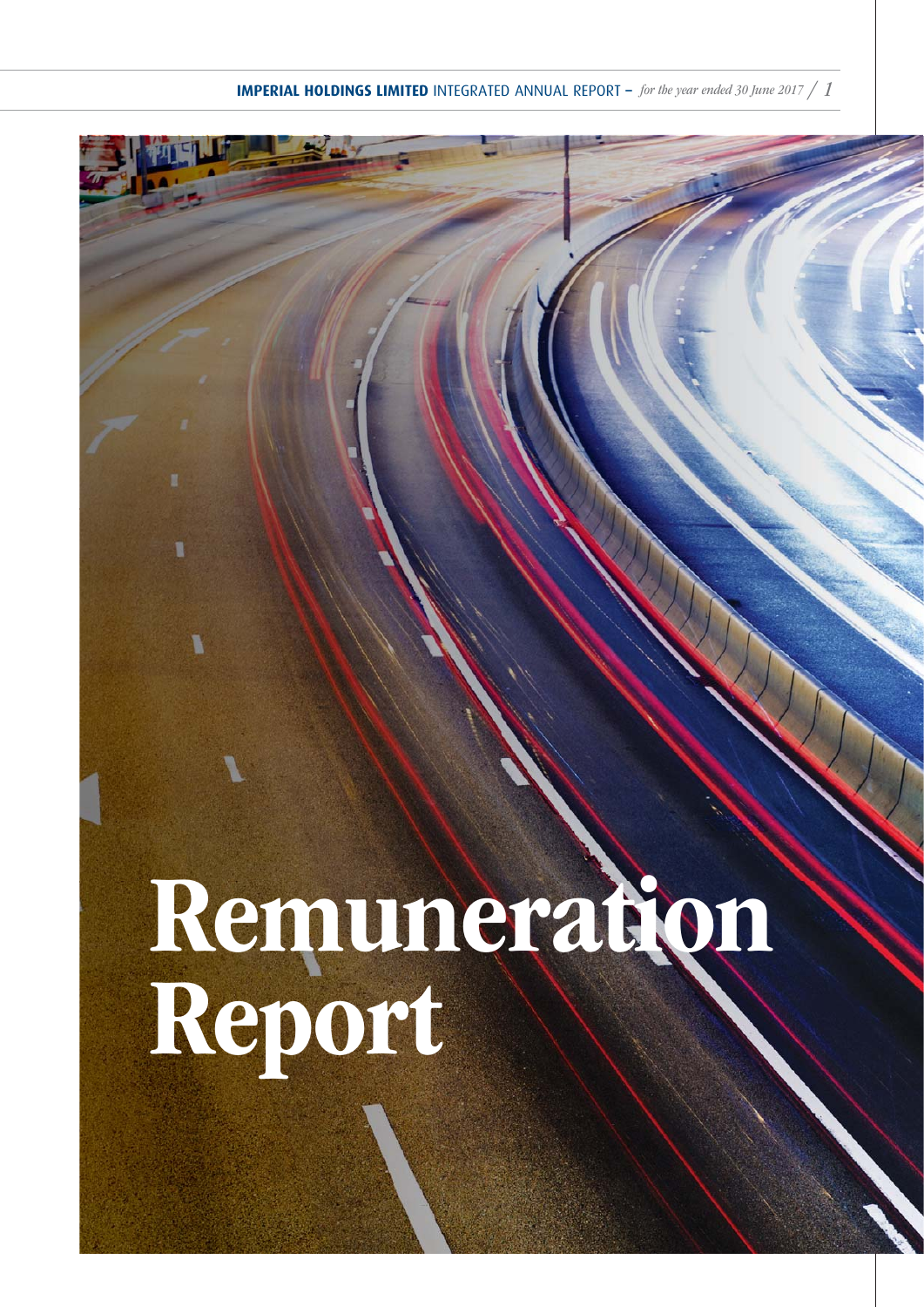# Remuneration Report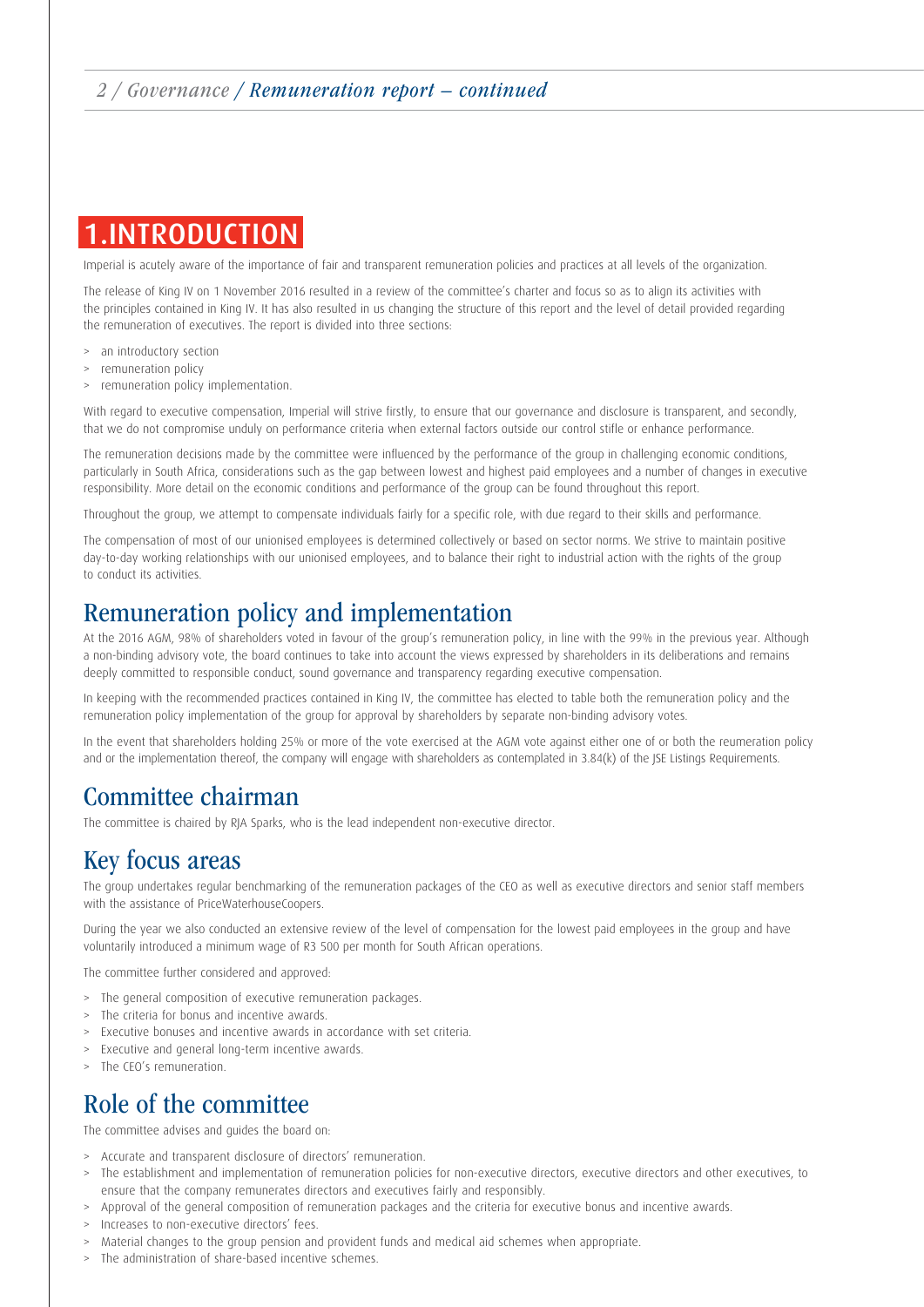# 1.INTRODUCTION

Imperial is acutely aware of the importance of fair and transparent remuneration policies and practices at all levels of the organization.

The release of King IV on 1 November 2016 resulted in a review of the committee's charter and focus so as to align its activities with the principles contained in King IV. It has also resulted in us changing the structure of this report and the level of detail provided regarding the remuneration of executives. The report is divided into three sections:

- > an introductory section
- > remuneration policy
- > remuneration policy implementation.

With regard to executive compensation, Imperial will strive firstly, to ensure that our governance and disclosure is transparent, and secondly, that we do not compromise unduly on performance criteria when external factors outside our control stifle or enhance performance.

The remuneration decisions made by the committee were influenced by the performance of the group in challenging economic conditions, particularly in South Africa, considerations such as the gap between lowest and highest paid employees and a number of changes in executive responsibility. More detail on the economic conditions and performance of the group can be found throughout this report.

Throughout the group, we attempt to compensate individuals fairly for a specific role, with due regard to their skills and performance.

The compensation of most of our unionised employees is determined collectively or based on sector norms. We strive to maintain positive day-to-day working relationships with our unionised employees, and to balance their right to industrial action with the rights of the group to conduct its activities.

## Remuneration policy and implementation

At the 2016 AGM, 98% of shareholders voted in favour of the group's remuneration policy, in line with the 99% in the previous year. Although a non-binding advisory vote, the board continues to take into account the views expressed by shareholders in its deliberations and remains deeply committed to responsible conduct, sound governance and transparency regarding executive compensation.

In keeping with the recommended practices contained in King IV, the committee has elected to table both the remuneration policy and the remuneration policy implementation of the group for approval by shareholders by separate non-binding advisory votes.

In the event that shareholders holding 25% or more of the vote exercised at the AGM vote against either one of or both the reumeration policy and or the implementation thereof, the company will engage with shareholders as contemplated in 3.84(k) of the JSE Listings Requirements.

## Committee chairman

The committee is chaired by RJA Sparks, who is the lead independent non-executive director.

## Key focus areas

The group undertakes regular benchmarking of the remuneration packages of the CEO as well as executive directors and senior staff members with the assistance of PriceWaterhouseCoopers.

During the year we also conducted an extensive review of the level of compensation for the lowest paid employees in the group and have voluntarily introduced a minimum wage of R3 500 per month for South African operations.

The committee further considered and approved:

- > The general composition of executive remuneration packages.
- > The criteria for bonus and incentive awards.
- > Executive bonuses and incentive awards in accordance with set criteria.
- > Executive and general long-term incentive awards.
- > The CEO's remuneration.

# Role of the committee

The committee advises and guides the board on:

- > Accurate and transparent disclosure of directors' remuneration.
- > The establishment and implementation of remuneration policies for non-executive directors, executive directors and other executives, to ensure that the company remunerates directors and executives fairly and responsibly.
- > Approval of the general composition of remuneration packages and the criteria for executive bonus and incentive awards.
- > Increases to non-executive directors' fees.
- > Material changes to the group pension and provident funds and medical aid schemes when appropriate.
- > The administration of share-based incentive schemes.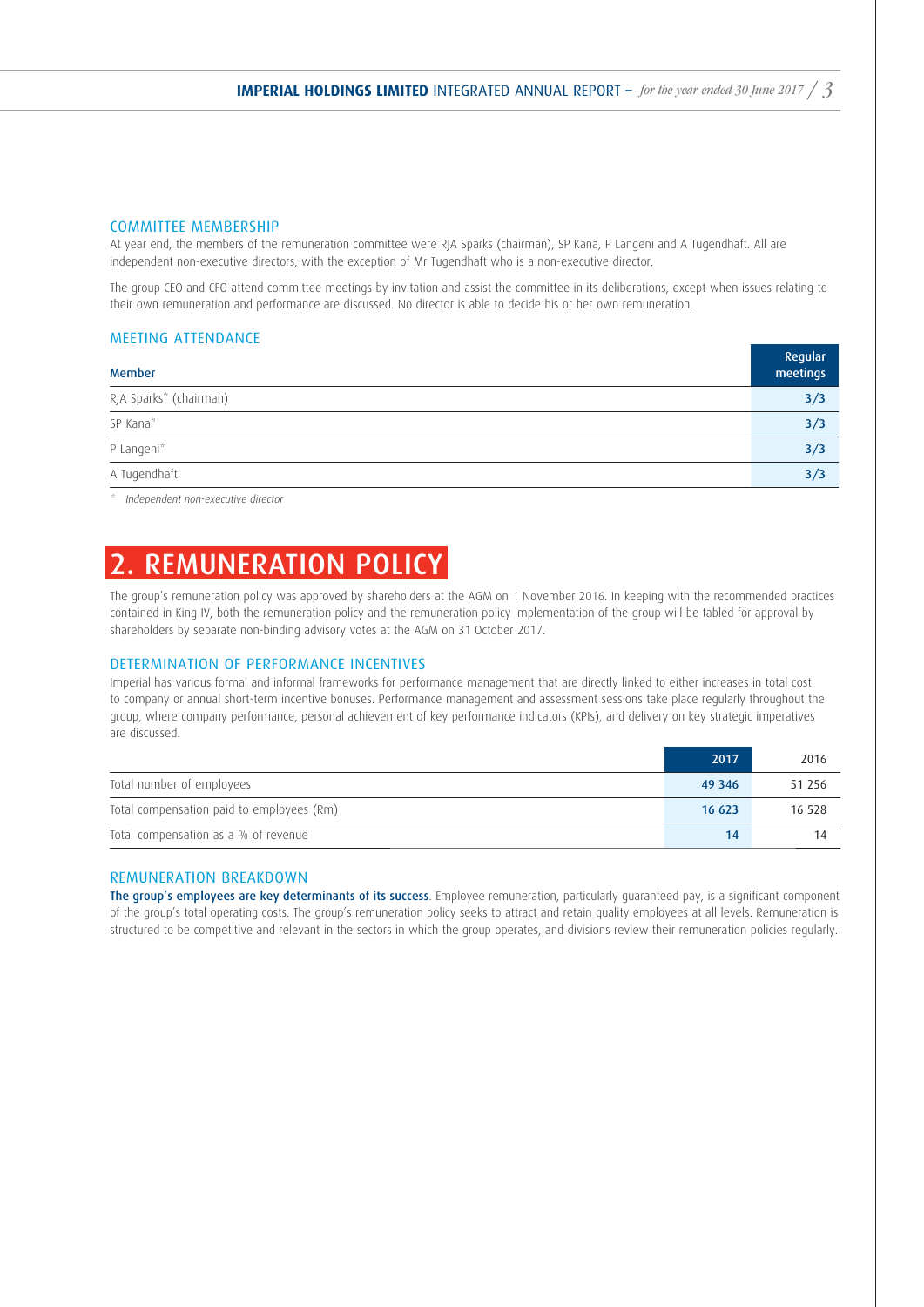#### COMMITTEE MEMBERSHIP

At year end, the members of the remuneration committee were RJA Sparks (chairman), SP Kana, P Langeni and A Tugendhaft. All are independent non-executive directors, with the exception of Mr Tugendhaft who is a non-executive director.

The group CEO and CFO attend committee meetings by invitation and assist the committee in its deliberations, except when issues relating to their own remuneration and performance are discussed. No director is able to decide his or her own remuneration.

#### MEETING ATTENDANCE

| <b>Member</b>          | Regular<br>meetings |
|------------------------|---------------------|
| RJA Sparks* (chairman) | 3/3                 |
| SP Kana*               | 3/3                 |
| P Langeni*             | 3/3                 |
| A Tugendhaft           | 3/3                 |

\* Independent non-executive director

# 2. REMUNERATION POLICY

The group's remuneration policy was approved by shareholders at the AGM on 1 November 2016. In keeping with the recommended practices contained in King IV, both the remuneration policy and the remuneration policy implementation of the group will be tabled for approval by shareholders by separate non-binding advisory votes at the AGM on 31 October 2017.

#### DETERMINATION OF PERFORMANCE INCENTIVES

Imperial has various formal and informal frameworks for performance management that are directly linked to either increases in total cost to company or annual short-term incentive bonuses. Performance management and assessment sessions take place regularly throughout the group, where company performance, personal achievement of key performance indicators (KPIs), and delivery on key strategic imperatives are discussed.

|                                           | 2017   | 2016   |
|-------------------------------------------|--------|--------|
| Total number of employees                 | 49 346 | 51 256 |
| Total compensation paid to employees (Rm) | 16 623 | 16 528 |
| Total compensation as a % of revenue      | 14     |        |

#### REMUNERATION BREAKDOWN

The group's employees are key determinants of its success. Employee remuneration, particularly quaranteed pay, is a significant component of the group's total operating costs. The group's remuneration policy seeks to attract and retain quality employees at all levels. Remuneration is structured to be competitive and relevant in the sectors in which the group operates, and divisions review their remuneration policies regularly.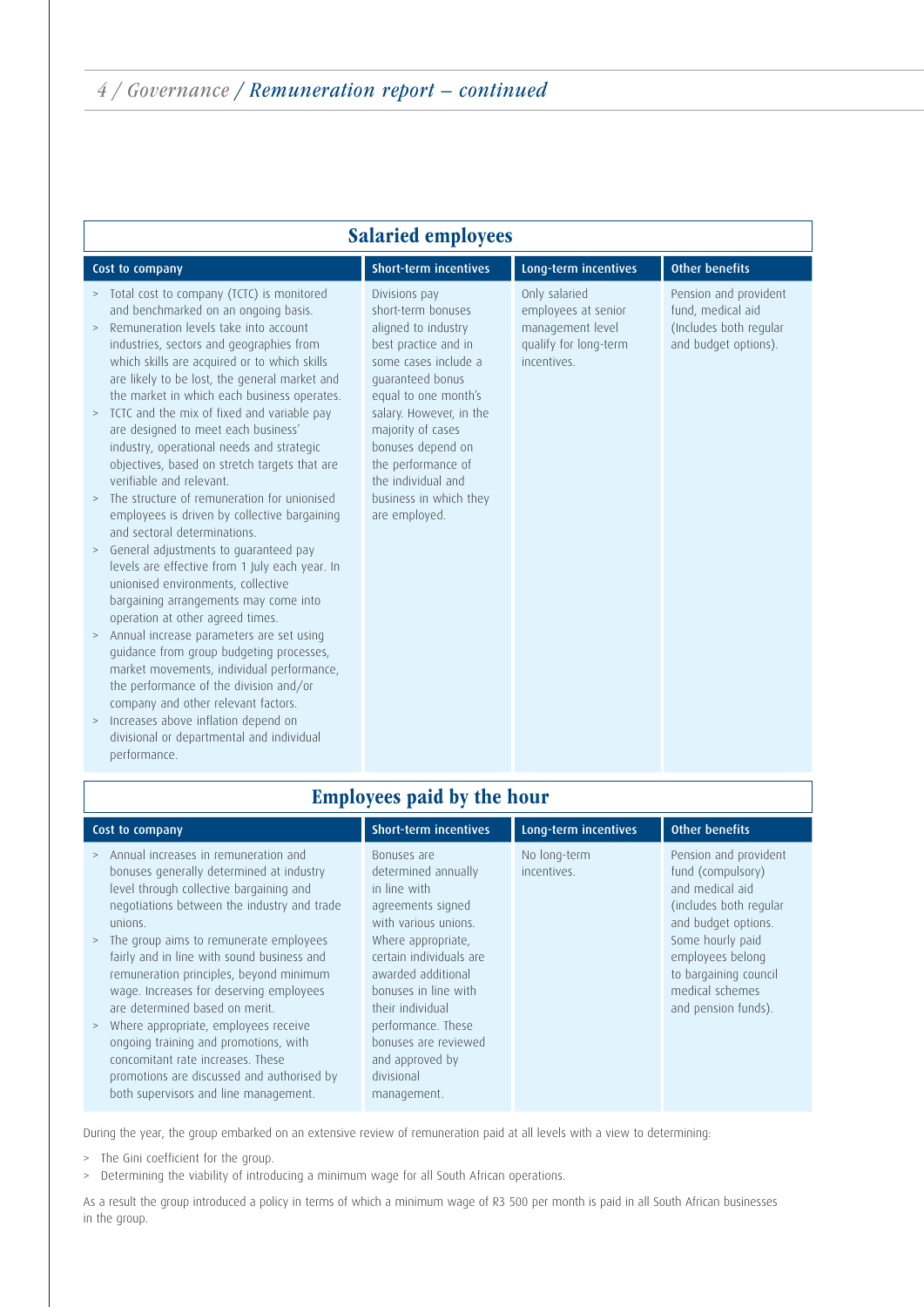| <b>Salaried employees</b>                                                                                                                                                                                                                                                                                                                                                                                                                                                                                                                                                                                                                                                                                                                                                                                                                                                                                                                                                                                                                                                                                                                                                                                                                                          |                                                                                                                                                                                                                                                                                                                    |                                                                                                  |                                                                                              |  |  |
|--------------------------------------------------------------------------------------------------------------------------------------------------------------------------------------------------------------------------------------------------------------------------------------------------------------------------------------------------------------------------------------------------------------------------------------------------------------------------------------------------------------------------------------------------------------------------------------------------------------------------------------------------------------------------------------------------------------------------------------------------------------------------------------------------------------------------------------------------------------------------------------------------------------------------------------------------------------------------------------------------------------------------------------------------------------------------------------------------------------------------------------------------------------------------------------------------------------------------------------------------------------------|--------------------------------------------------------------------------------------------------------------------------------------------------------------------------------------------------------------------------------------------------------------------------------------------------------------------|--------------------------------------------------------------------------------------------------|----------------------------------------------------------------------------------------------|--|--|
| Cost to company                                                                                                                                                                                                                                                                                                                                                                                                                                                                                                                                                                                                                                                                                                                                                                                                                                                                                                                                                                                                                                                                                                                                                                                                                                                    | <b>Short-term incentives</b>                                                                                                                                                                                                                                                                                       | Long-term incentives                                                                             | <b>Other benefits</b>                                                                        |  |  |
| Total cost to company (TCTC) is monitored<br>><br>and benchmarked on an ongoing basis.<br>Remuneration levels take into account<br>$\,>$<br>industries, sectors and geographies from<br>which skills are acquired or to which skills<br>are likely to be lost, the general market and<br>the market in which each business operates.<br>TCTC and the mix of fixed and variable pay<br>$\, >$<br>are designed to meet each business'<br>industry, operational needs and strategic<br>objectives, based on stretch targets that are<br>verifiable and relevant.<br>The structure of remuneration for unionised<br>$\,>$<br>employees is driven by collective bargaining<br>and sectoral determinations.<br>General adjustments to quaranteed pay<br>$\,>$<br>levels are effective from 1 July each year. In<br>unionised environments, collective<br>bargaining arrangements may come into<br>operation at other agreed times.<br>> Annual increase parameters are set using<br>quidance from group budgeting processes,<br>market movements, individual performance,<br>the performance of the division and/or<br>company and other relevant factors.<br>Increases above inflation depend on<br>$\, >$<br>divisional or departmental and individual<br>performance. | Divisions pay<br>short-term bonuses<br>aligned to industry<br>best practice and in<br>some cases include a<br>quaranteed bonus<br>equal to one month's<br>salary. However, in the<br>majority of cases<br>bonuses depend on<br>the performance of<br>the individual and<br>business in which they<br>are employed. | Only salaried<br>employees at senior<br>management level<br>qualify for long-term<br>incentives. | Pension and provident<br>fund, medical aid<br>(Includes both regular<br>and budget options). |  |  |
| <b>Employees paid by the hour</b>                                                                                                                                                                                                                                                                                                                                                                                                                                                                                                                                                                                                                                                                                                                                                                                                                                                                                                                                                                                                                                                                                                                                                                                                                                  |                                                                                                                                                                                                                                                                                                                    |                                                                                                  |                                                                                              |  |  |

## Employees paid by the hour

| Cost to company                                                                                                                                                                                                                                                                                                                                                                                                                                                                                                                                                                                                                          | <b>Short-term incentives</b>                                                                                                                                                                                                                                                                                     | Long-term incentives        | <b>Other benefits</b>                                                                                                                                                                                                     |
|------------------------------------------------------------------------------------------------------------------------------------------------------------------------------------------------------------------------------------------------------------------------------------------------------------------------------------------------------------------------------------------------------------------------------------------------------------------------------------------------------------------------------------------------------------------------------------------------------------------------------------------|------------------------------------------------------------------------------------------------------------------------------------------------------------------------------------------------------------------------------------------------------------------------------------------------------------------|-----------------------------|---------------------------------------------------------------------------------------------------------------------------------------------------------------------------------------------------------------------------|
| Annual increases in remuneration and<br>><br>bonuses generally determined at industry<br>level through collective bargaining and<br>negotiations between the industry and trade<br>unions.<br>The group aims to remunerate employees<br>><br>fairly and in line with sound business and<br>remuneration principles, beyond minimum<br>wage. Increases for deserving employees<br>are determined based on merit.<br>Where appropriate, employees receive<br>$\rm{>}$<br>ongoing training and promotions, with<br>concomitant rate increases. These<br>promotions are discussed and authorised by<br>both supervisors and line management. | Bonuses are<br>determined annually<br>in line with<br>agreements signed<br>with various unions.<br>Where appropriate,<br>certain individuals are<br>awarded additional<br>bonuses in line with<br>their individual<br>performance. These<br>bonuses are reviewed<br>and approved by<br>divisional<br>management. | No long-term<br>incentives. | Pension and provident<br>fund (compulsory)<br>and medical aid<br>(includes both regular<br>and budget options.<br>Some hourly paid<br>employees belong<br>to bargaining council<br>medical schemes<br>and pension funds). |

During the year, the group embarked on an extensive review of remuneration paid at all levels with a view to determining:

- > The Gini coefficient for the group.
- > Determining the viability of introducing a minimum wage for all South African operations.

As a result the group introduced a policy in terms of which a minimum wage of R3 500 per month is paid in all South African businesses in the group.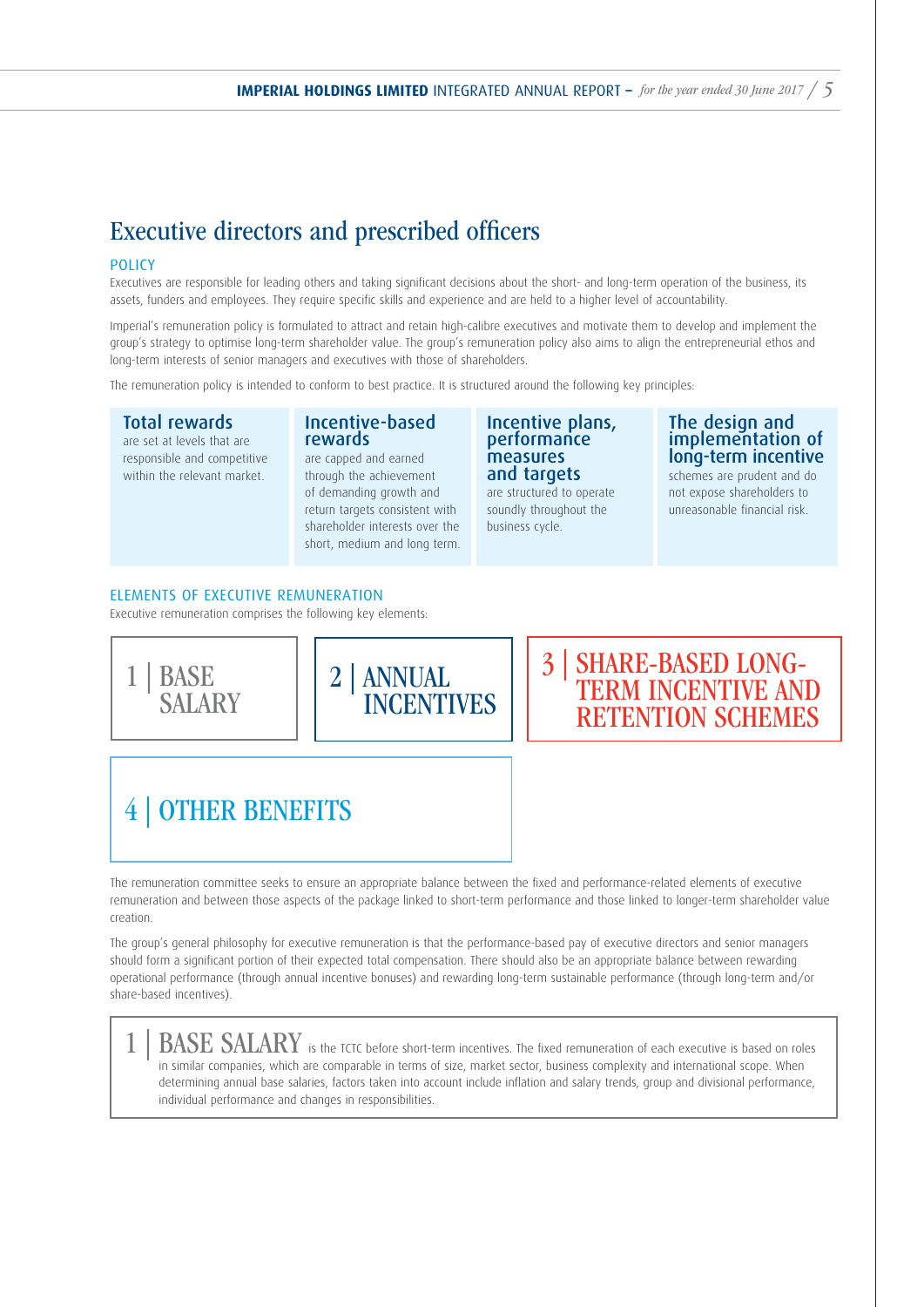# Executive directors and prescribed officers

#### POLICY

Executives are responsible for leading others and taking significant decisions about the short- and long-term operation of the business, its assets, funders and employees. They require specific skills and experience and are held to a higher level of accountability.

Imperial's remuneration policy is formulated to attract and retain high-calibre executives and motivate them to develop and implement the group's strategy to optimise long-term shareholder value. The group's remuneration policy also aims to align the entrepreneurial ethos and long-term interests of senior managers and executives with those of shareholders.

The remuneration policy is intended to conform to best practice. It is structured around the following key principles:

#### Total rewards

are set at levels that are responsible and competitive within the relevant market.

#### Incentive-based rewards

are capped and earned through the achievement of demanding growth and return targets consistent with shareholder interests over the short, medium and long term.

#### Incentive plans, performance measures and targets

are structured to operate soundly throughout the business cycle.

#### The design and implementation of long-term incentive

schemes are prudent and do not expose shareholders to unreasonable financial risk.

#### ELEMENTS OF EXECUTIVE REMUNERATION

Executive remuneration comprises the following key elements:







# 4 | OTHER BENEFITS

The remuneration committee seeks to ensure an appropriate balance between the fixed and performance-related elements of executive remuneration and between those aspects of the package linked to short-term performance and those linked to longer-term shareholder value creation.

The group's general philosophy for executive remuneration is that the performance-based pay of executive directors and senior managers should form a significant portion of their expected total compensation. There should also be an appropriate balance between rewarding operational performance (through annual incentive bonuses) and rewarding long-term sustainable performance (through long-term and/or share-based incentives).

 $\text{BASE}\ \text{SALARY}$  is the TCTC before short-term incentives. The fixed remuneration of each executive is based on roles in similar companies, which are comparable in terms of size, market sector, business complexity and international scope. When determining annual base salaries, factors taken into account include inflation and salary trends, group and divisional performance, individual performance and changes in responsibilities.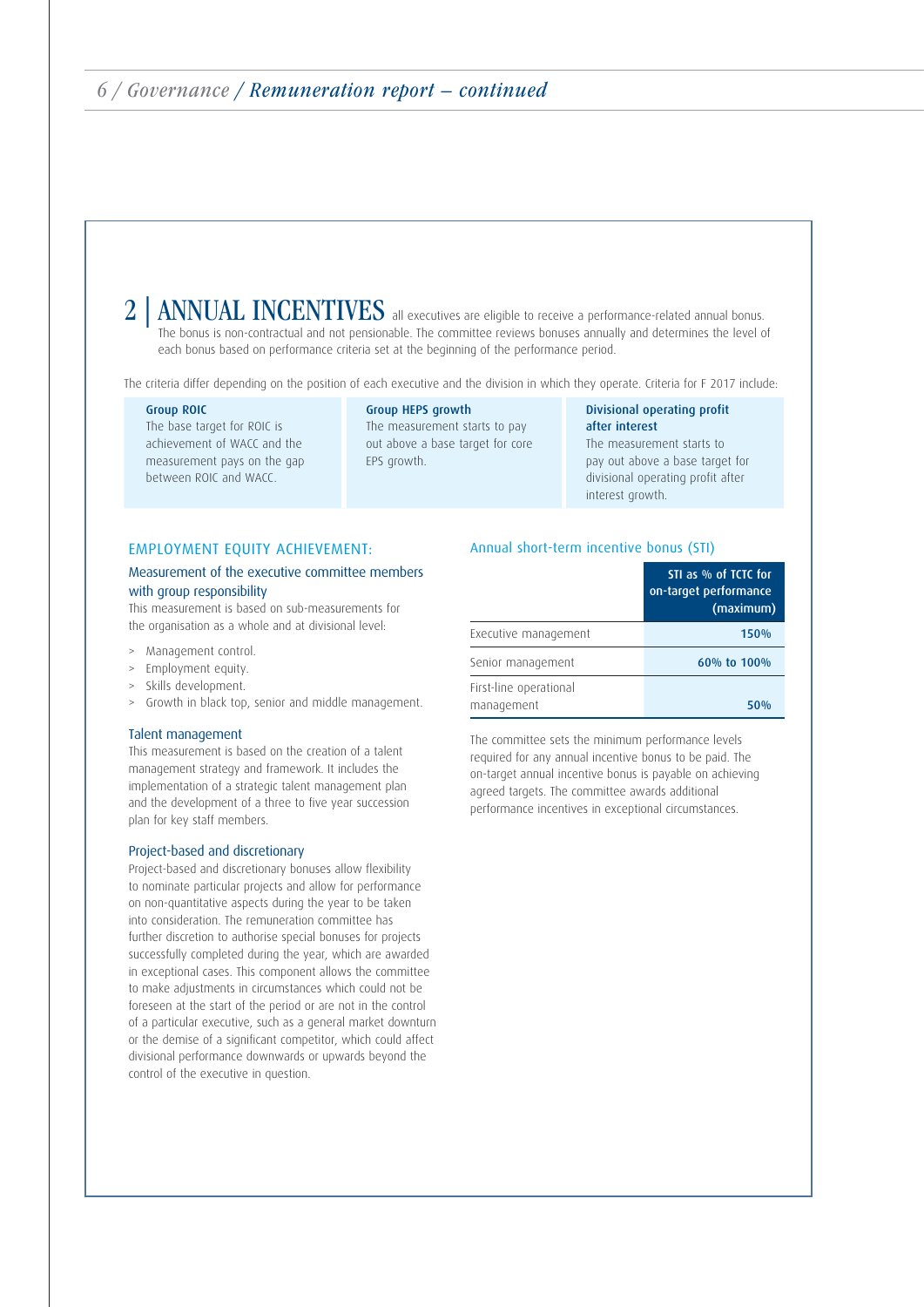# ANNUAL INCENTIVES all executives are eligible to receive a performance-related annual bonus.

The bonus is non-contractual and not pensionable. The committee reviews bonuses annually and determines the level of each bonus based on performance criteria set at the beginning of the performance period.

The criteria differ depending on the position of each executive and the division in which they operate. Criteria for F 2017 include:

#### Group ROIC

The base target for ROIC is achievement of WACC and the measurement pays on the gap between ROIC and WACC.

Group HEPS growth The measurement starts to pay out above a base target for core EPS growth.

#### Divisional operating profit after interest The measurement starts to pay out above a base target for divisional operating profit after interest growth.

#### EMPLOYMENT EQUITY ACHIEVEMENT:

#### Measurement of the executive committee members with group responsibility

This measurement is based on sub-measurements for the organisation as a whole and at divisional level:

- Management control.
- Employment equity.
- Skills development.
- Growth in black top, senior and middle management.

#### Talent management

This measurement is based on the creation of a talent management strategy and framework. It includes the implementation of a strategic talent management plan and the development of a three to five year succession plan for key staff members.

#### Project-based and discretionary

Project-based and discretionary bonuses allow flexibility to nominate particular projects and allow for performance on non-quantitative aspects during the year to be taken into consideration. The remuneration committee has further discretion to authorise special bonuses for projects successfully completed during the year, which are awarded in exceptional cases. This component allows the committee to make adjustments in circumstances which could not be foreseen at the start of the period or are not in the control of a particular executive, such as a general market downturn or the demise of a significant competitor, which could affect divisional performance downwards or upwards beyond the control of the executive in question.

#### Annual short-term incentive bonus (STI)

|                                      | STI as % of TCTC for<br>on-target performance<br>(maximum) |
|--------------------------------------|------------------------------------------------------------|
| Executive management                 | 150%                                                       |
| Senior management                    | 60% to 100%                                                |
| First-line operational<br>management | 50%                                                        |

The committee sets the minimum performance levels required for any annual incentive bonus to be paid. The on-target annual incentive bonus is payable on achieving agreed targets. The committee awards additional performance incentives in exceptional circumstances.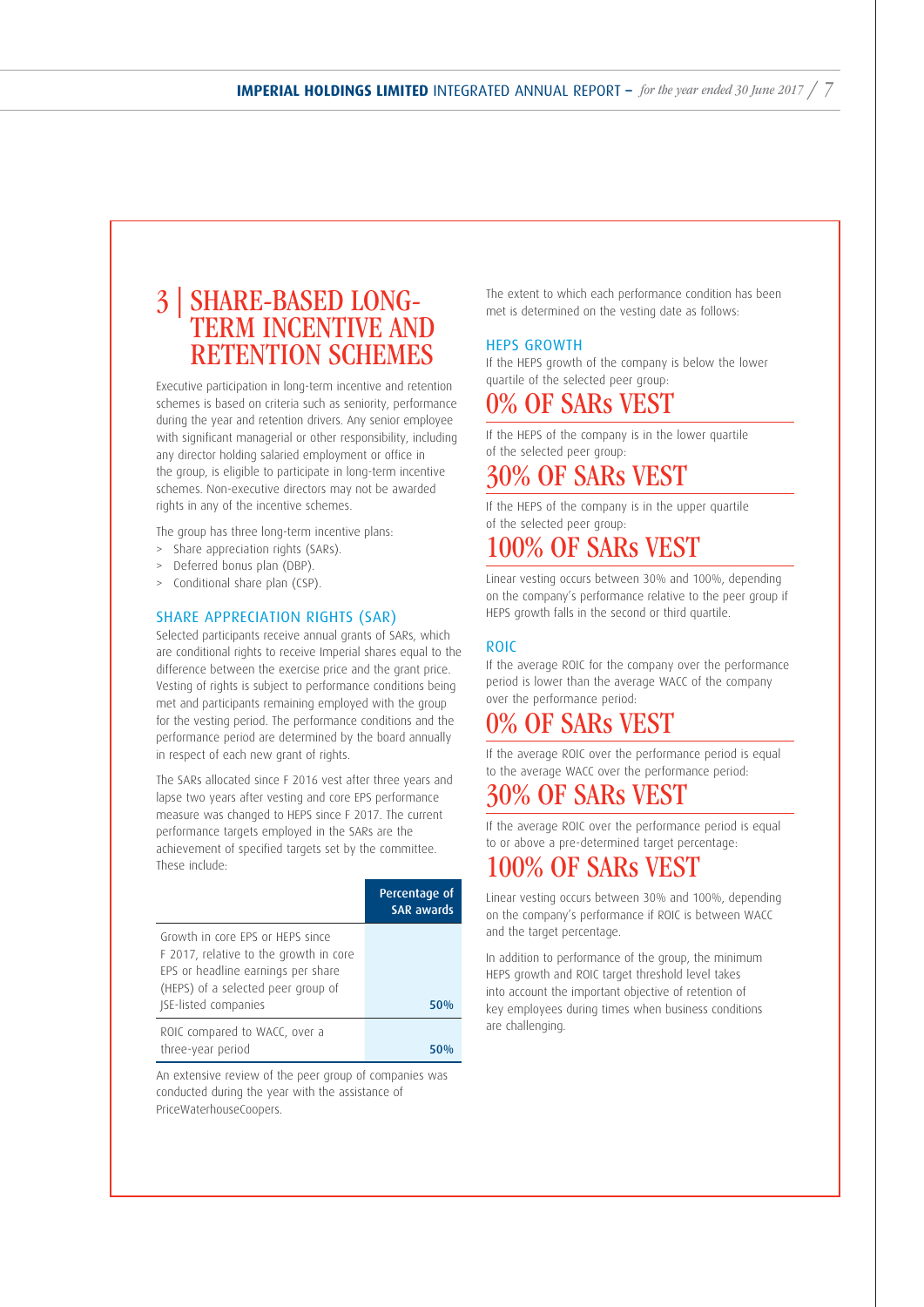# 3 | SHARE-BASED LONG- TERM INCENTIVE AND RETENTION SCHEMES

Executive participation in long-term incentive and retention schemes is based on criteria such as seniority, performance during the year and retention drivers. Any senior employee with significant managerial or other responsibility, including any director holding salaried employment or office in the group, is eligible to participate in long-term incentive schemes. Non-executive directors may not be awarded rights in any of the incentive schemes.

The group has three long-term incentive plans:

- > Share appreciation rights (SARs).
- Deferred bonus plan (DBP).
- > Conditional share plan (CSP).

#### SHARE APPRECIATION RIGHTS (SAR)

Selected participants receive annual grants of SARs, which are conditional rights to receive Imperial shares equal to the difference between the exercise price and the grant price. Vesting of rights is subject to performance conditions being met and participants remaining employed with the group for the vesting period. The performance conditions and the performance period are determined by the board annually in respect of each new grant of rights.

The SARs allocated since F 2016 vest after three years and lapse two years after vesting and core EPS performance measure was changed to HEPS since F 2017. The current performance targets employed in the SARs are the achievement of specified targets set by the committee. These include:

|                                                                                                                                                                                       | Percentage of<br><b>SAR awards</b> |
|---------------------------------------------------------------------------------------------------------------------------------------------------------------------------------------|------------------------------------|
| Growth in core FPS or HEPS since<br>F 2017, relative to the growth in core<br>EPS or headline earnings per share<br>(HEPS) of a selected peer group of<br><b>ISE-listed companies</b> | 50%                                |
| ROIC compared to WACC, over a<br>three-year period                                                                                                                                    |                                    |

An extensive review of the peer group of companies was conducted during the year with the assistance of PriceWaterhouseCoopers.

The extent to which each performance condition has been met is determined on the vesting date as follows:

#### HEPS GROWTH

If the HEPS growth of the company is below the lower quartile of the selected peer group:

# 0% OF SARs VEST

If the HEPS of the company is in the lower quartile of the selected peer group:

## 30% OF SARs VEST

If the HEPS of the company is in the upper quartile of the selected peer group:

## 100% OF SARs VEST

Linear vesting occurs between 30% and 100%, depending on the company's performance relative to the peer group if HEPS growth falls in the second or third quartile.

#### ROIC

If the average ROIC for the company over the performance period is lower than the average WACC of the company over the performance period:

## 0% OF SARs VEST

If the average ROIC over the performance period is equal to the average WACC over the performance period:

## 30% OF SARs VEST

If the average ROIC over the performance period is equal to or above a pre-determined target percentage:

## 100% OF SARs VEST

Linear vesting occurs between 30% and 100%, depending on the company's performance if ROIC is between WACC and the target percentage.

In addition to performance of the group, the minimum HEPS growth and ROIC target threshold level takes into account the important objective of retention of key employees during times when business conditions are challenging.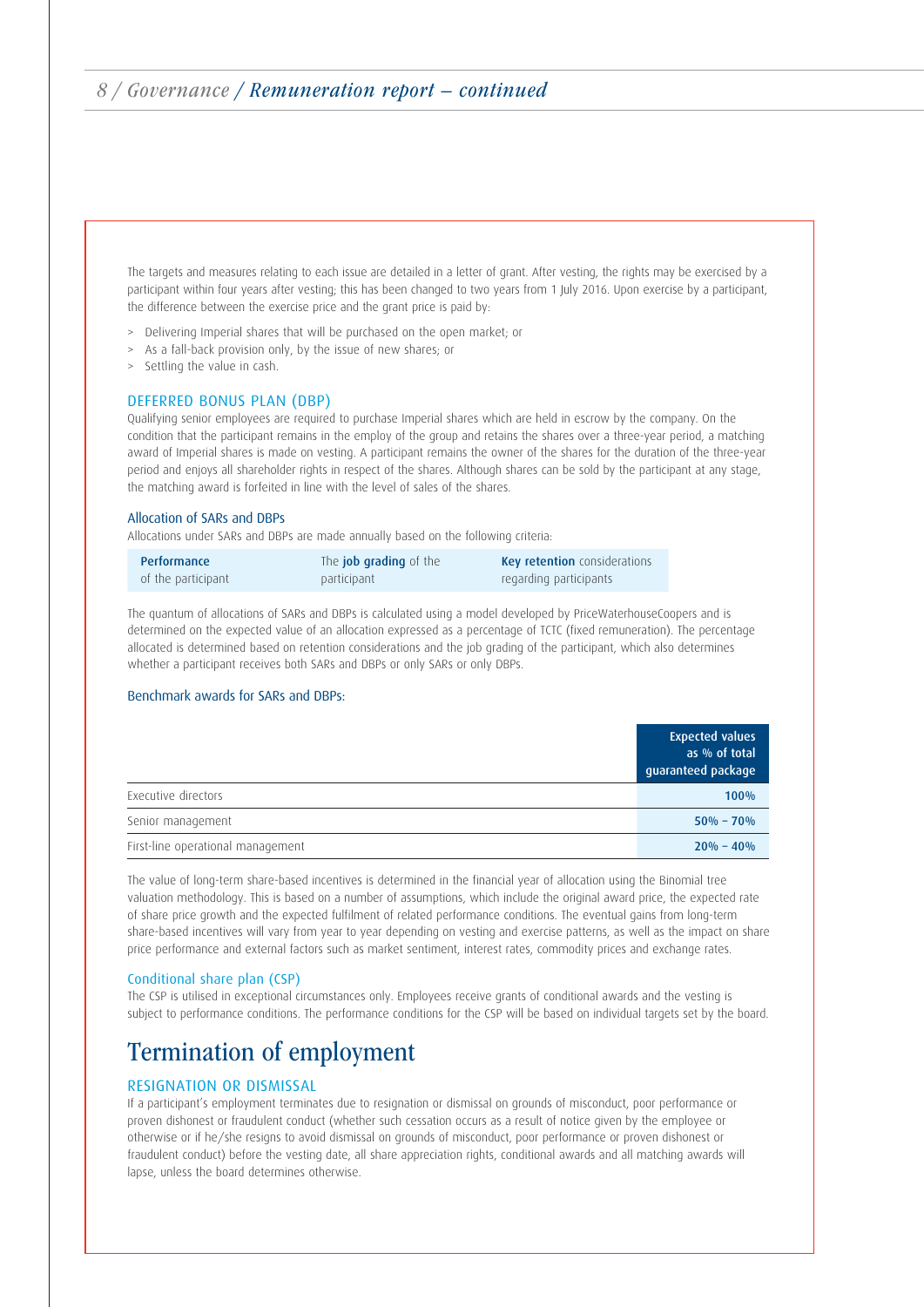The targets and measures relating to each issue are detailed in a letter of grant. After vesting, the rights may be exercised by a participant within four years after vesting; this has been changed to two years from 1 July 2016. Upon exercise by a participant, the difference between the exercise price and the grant price is paid by:

- > Delivering Imperial shares that will be purchased on the open market; or
- > As a fall-back provision only, by the issue of new shares; or
- > Settling the value in cash.

#### DEFERRED BONUS PLAN (DBP)

Qualifying senior employees are required to purchase Imperial shares which are held in escrow by the company. On the condition that the participant remains in the employ of the group and retains the shares over a three-year period, a matching award of Imperial shares is made on vesting. A participant remains the owner of the shares for the duration of the three-year period and enjoys all shareholder rights in respect of the shares. Although shares can be sold by the participant at any stage, the matching award is forfeited in line with the level of sales of the shares.

#### Allocation of SARs and DBPs

Allocations under SARs and DBPs are made annually based on the following criteria:

| Performance        | The <b>job grading</b> of the | <b>Key retention</b> considerations |
|--------------------|-------------------------------|-------------------------------------|
| of the participant | participant                   | regarding participants              |

The quantum of allocations of SARs and DBPs is calculated using a model developed by PriceWaterhouseCoopers and is determined on the expected value of an allocation expressed as a percentage of TCTC (fixed remuneration). The percentage allocated is determined based on retention considerations and the job grading of the participant, which also determines whether a participant receives both SARs and DBPs or only SARs or only DBPs.

#### Benchmark awards for SARs and DBPs:

|                                   | <b>Expected values</b><br>as % of total<br>guaranteed package |
|-----------------------------------|---------------------------------------------------------------|
| Executive directors               | 100%                                                          |
| Senior management                 | $50\% - 70\%$                                                 |
| First-line operational management | $20\% - 40\%$                                                 |

The value of long-term share-based incentives is determined in the financial year of allocation using the Binomial tree valuation methodology. This is based on a number of assumptions, which include the original award price, the expected rate of share price growth and the expected fulfilment of related performance conditions. The eventual gains from long-term share-based incentives will vary from year to year depending on vesting and exercise patterns, as well as the impact on share price performance and external factors such as market sentiment, interest rates, commodity prices and exchange rates.

#### Conditional share plan (CSP)

The CSP is utilised in exceptional circumstances only. Employees receive grants of conditional awards and the vesting is subject to performance conditions. The performance conditions for the CSP will be based on individual targets set by the board.

# Termination of employment

#### RESIGNATION OR DISMISSAL

If a participant's employment terminates due to resignation or dismissal on grounds of misconduct, poor performance or proven dishonest or fraudulent conduct (whether such cessation occurs as a result of notice given by the employee or otherwise or if he/she resigns to avoid dismissal on grounds of misconduct, poor performance or proven dishonest or fraudulent conduct) before the vesting date, all share appreciation rights, conditional awards and all matching awards will lapse, unless the board determines otherwise.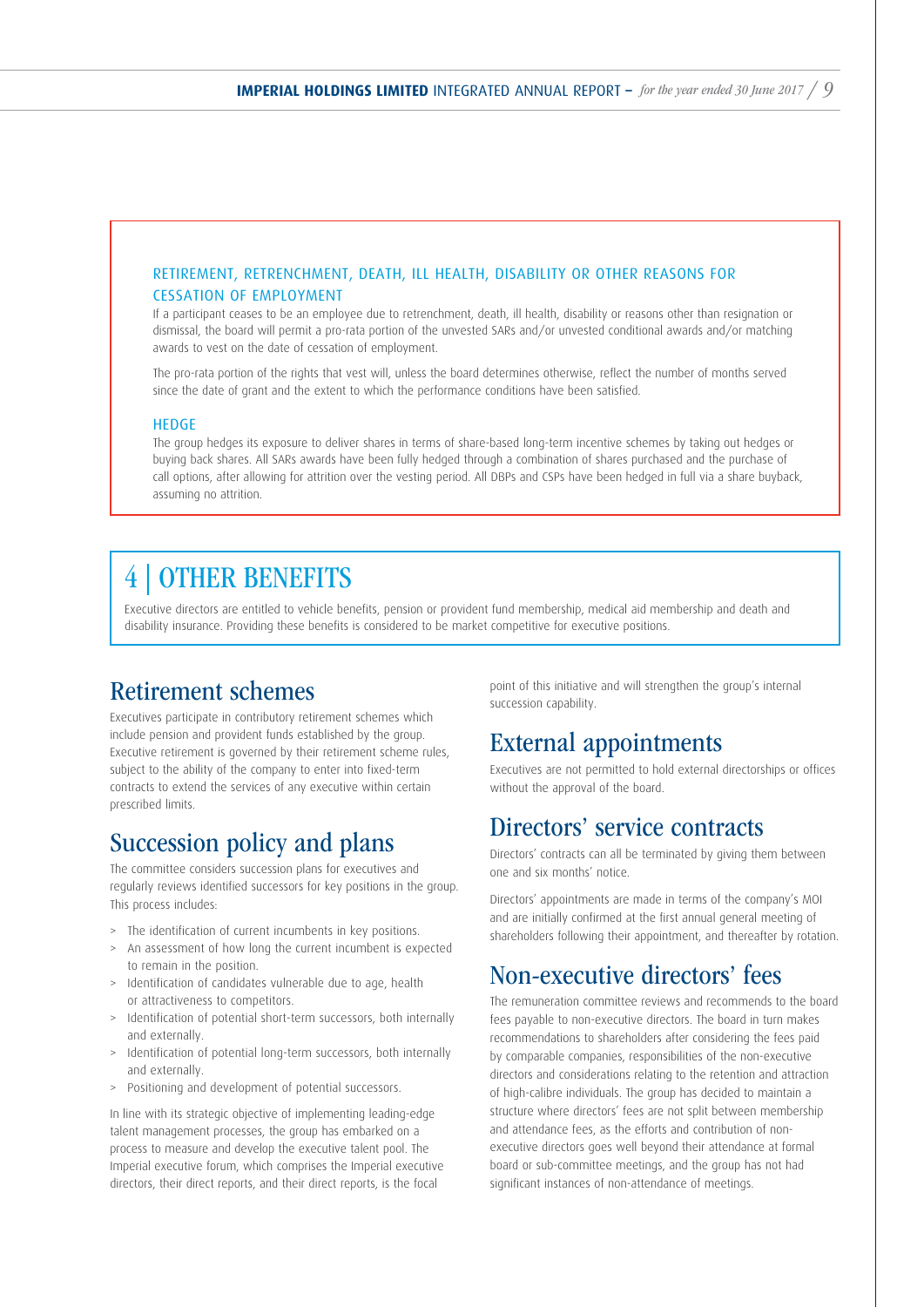#### RETIREMENT, RETRENCHMENT, DEATH, ILL HEALTH, DISABILITY OR OTHER REASONS FOR CESSATION OF EMPLOYMENT

If a participant ceases to be an employee due to retrenchment, death, ill health, disability or reasons other than resignation or dismissal, the board will permit a pro-rata portion of the unvested SARs and/or unvested conditional awards and/or matching awards to vest on the date of cessation of employment.

The pro-rata portion of the rights that vest will, unless the board determines otherwise, reflect the number of months served since the date of grant and the extent to which the performance conditions have been satisfied.

#### HEDGE

The group hedges its exposure to deliver shares in terms of share-based long-term incentive schemes by taking out hedges or buying back shares. All SARs awards have been fully hedged through a combination of shares purchased and the purchase of call options, after allowing for attrition over the vesting period. All DBPs and CSPs have been hedged in full via a share buyback, assuming no attrition.

## 4 | OTHER BENEFITS

Executive directors are entitled to vehicle benefits, pension or provident fund membership, medical aid membership and death and disability insurance. Providing these benefits is considered to be market competitive for executive positions.

## Retirement schemes

Executives participate in contributory retirement schemes which include pension and provident funds established by the group. Executive retirement is governed by their retirement scheme rules, subject to the ability of the company to enter into fixed-term contracts to extend the services of any executive within certain prescribed limits.

## Succession policy and plans

The committee considers succession plans for executives and regularly reviews identified successors for key positions in the group. This process includes:

- > The identification of current incumbents in key positions.
- > An assessment of how long the current incumbent is expected to remain in the position.
- > Identification of candidates vulnerable due to age, health or attractiveness to competitors.
- > Identification of potential short-term successors, both internally and externally.
- > Identification of potential long-term successors, both internally and externally.
- > Positioning and development of potential successors.

In line with its strategic objective of implementing leading-edge talent management processes, the group has embarked on a process to measure and develop the executive talent pool. The Imperial executive forum, which comprises the Imperial executive directors, their direct reports, and their direct reports, is the focal

point of this initiative and will strengthen the group's internal succession capability.

## External appointments

Executives are not permitted to hold external directorships or offices without the approval of the board.

## Directors' service contracts

Directors' contracts can all be terminated by giving them between one and six months' notice.

Directors' appointments are made in terms of the company's MOI and are initially confirmed at the first annual general meeting of shareholders following their appointment, and thereafter by rotation.

## Non-executive directors' fees

The remuneration committee reviews and recommends to the board fees payable to non-executive directors. The board in turn makes recommendations to shareholders after considering the fees paid by comparable companies, responsibilities of the non-executive directors and considerations relating to the retention and attraction of high-calibre individuals. The group has decided to maintain a structure where directors' fees are not split between membership and attendance fees, as the efforts and contribution of nonexecutive directors goes well beyond their attendance at formal board or sub-committee meetings, and the group has not had significant instances of non-attendance of meetings.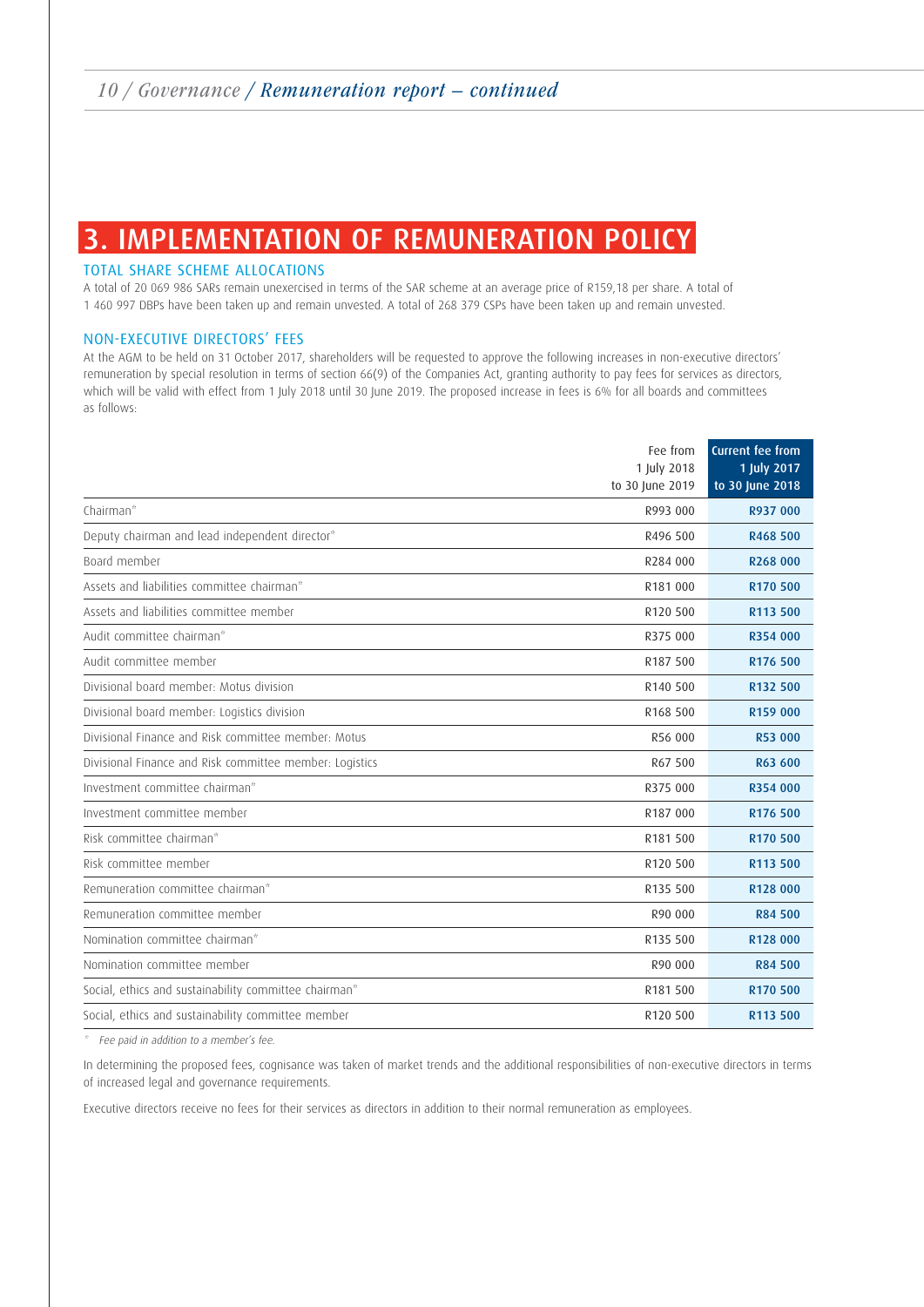# 3. IMPLEMENTATION OF REMUNERATION POLICY

#### TOTAL SHARE SCHEME ALLOCATIONS

A total of 20 069 986 SARs remain unexercised in terms of the SAR scheme at an average price of R159,18 per share. A total of 1 460 997 DBPs have been taken up and remain unvested. A total of 268 379 CSPs have been taken up and remain unvested.

#### NON-EXECUTIVE DIRECTORS' FEES

At the AGM to be held on 31 October 2017, shareholders will be requested to approve the following increases in non-executive directors' remuneration by special resolution in terms of section 66(9) of the Companies Act, granting authority to pay fees for services as directors, which will be valid with effect from 1 July 2018 until 30 June 2019. The proposed increase in fees is 6% for all boards and committees as follows:

|                                                         | Fee from<br>1 July 2018 | <b>Current fee from</b><br>1 July 2017 |
|---------------------------------------------------------|-------------------------|----------------------------------------|
|                                                         | to 30 June 2019         | to 30 June 2018                        |
| Chairman*                                               | R993 000                | R937 000                               |
| Deputy chairman and lead independent director*          | R496 500                | R468 500                               |
| Board member                                            | R284 000                | R268 000                               |
| Assets and liabilities committee chairman*              | R181 000                | R170 500                               |
| Assets and liabilities committee member                 | R120 500                | R113 500                               |
| Audit committee chairman*                               | R375 000                | R354 000                               |
| Audit committee member                                  | R187 500                | R176 500                               |
| Divisional board member: Motus division                 | R140 500                | R132 500                               |
| Divisional board member: Logistics division             | R168 500                | R159 000                               |
| Divisional Finance and Risk committee member: Motus     | R56 000                 | R53 000                                |
| Divisional Finance and Risk committee member: Logistics | R67 500                 | R63 600                                |
| Investment committee chairman*                          | R375 000                | R354 000                               |
| Investment committee member                             | R187 000                | R176 500                               |
| Risk committee chairman*                                | R181 500                | R170 500                               |
| Risk committee member                                   | R120 500                | R113 500                               |
| Remuneration committee chairman*                        | R135 500                | R128 000                               |
| Remuneration committee member                           | R90 000                 | R84 500                                |
| Nomination committee chairman*                          | R135 500                | R128 000                               |
| Nomination committee member                             | R90 000                 | R84 500                                |
| Social, ethics and sustainability committee chairman*   | R181 500                | R170 500                               |
| Social, ethics and sustainability committee member      | R120 500                | R113 500                               |

Fee paid in addition to a member's fee.

In determining the proposed fees, cognisance was taken of market trends and the additional responsibilities of non-executive directors in terms of increased legal and governance requirements.

Executive directors receive no fees for their services as directors in addition to their normal remuneration as employees.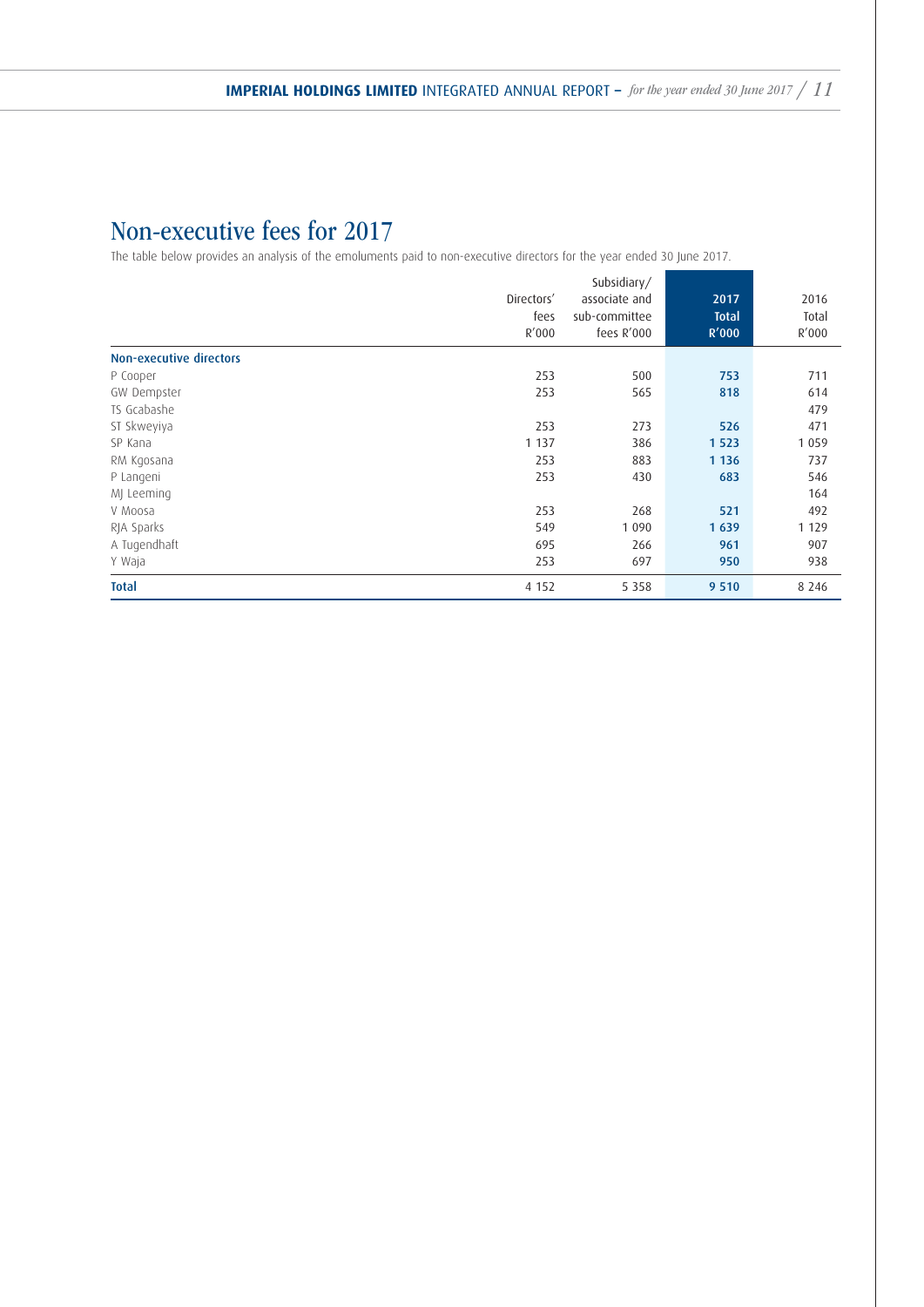# Non-executive fees for 2017

The table below provides an analysis of the emoluments paid to non-executive directors for the year ended 30 June 2017.

|                         | Directors'<br>fees<br>R'000 | Subsidiary/<br>associate and<br>sub-committee<br>fees R'000 | 2017<br><b>Total</b><br>R'000 | 2016<br>Total<br>R'000 |
|-------------------------|-----------------------------|-------------------------------------------------------------|-------------------------------|------------------------|
| Non-executive directors |                             |                                                             |                               |                        |
| P Cooper                | 253                         | 500                                                         | 753                           | 711                    |
| GW Dempster             | 253                         | 565                                                         | 818                           | 614                    |
| TS Gcabashe             |                             |                                                             |                               | 479                    |
| ST Skweyiya             | 253                         | 273                                                         | 526                           | 471                    |
| SP Kana                 | 1 1 3 7                     | 386                                                         | 1 5 2 3                       | 1 0 5 9                |
| RM Kgosana              | 253                         | 883                                                         | 1 1 3 6                       | 737                    |
| P Langeni               | 253                         | 430                                                         | 683                           | 546                    |
| MJ Leeming              |                             |                                                             |                               | 164                    |
| V Moosa                 | 253                         | 268                                                         | 521                           | 492                    |
| RJA Sparks              | 549                         | 1 0 9 0                                                     | 1 6 3 9                       | 1 1 2 9                |
| A Tugendhaft            | 695                         | 266                                                         | 961                           | 907                    |
| Y Waja                  | 253                         | 697                                                         | 950                           | 938                    |
| <b>Total</b>            | 4 1 5 2                     | 5 3 5 8                                                     | 9 5 1 0                       | 8 2 4 6                |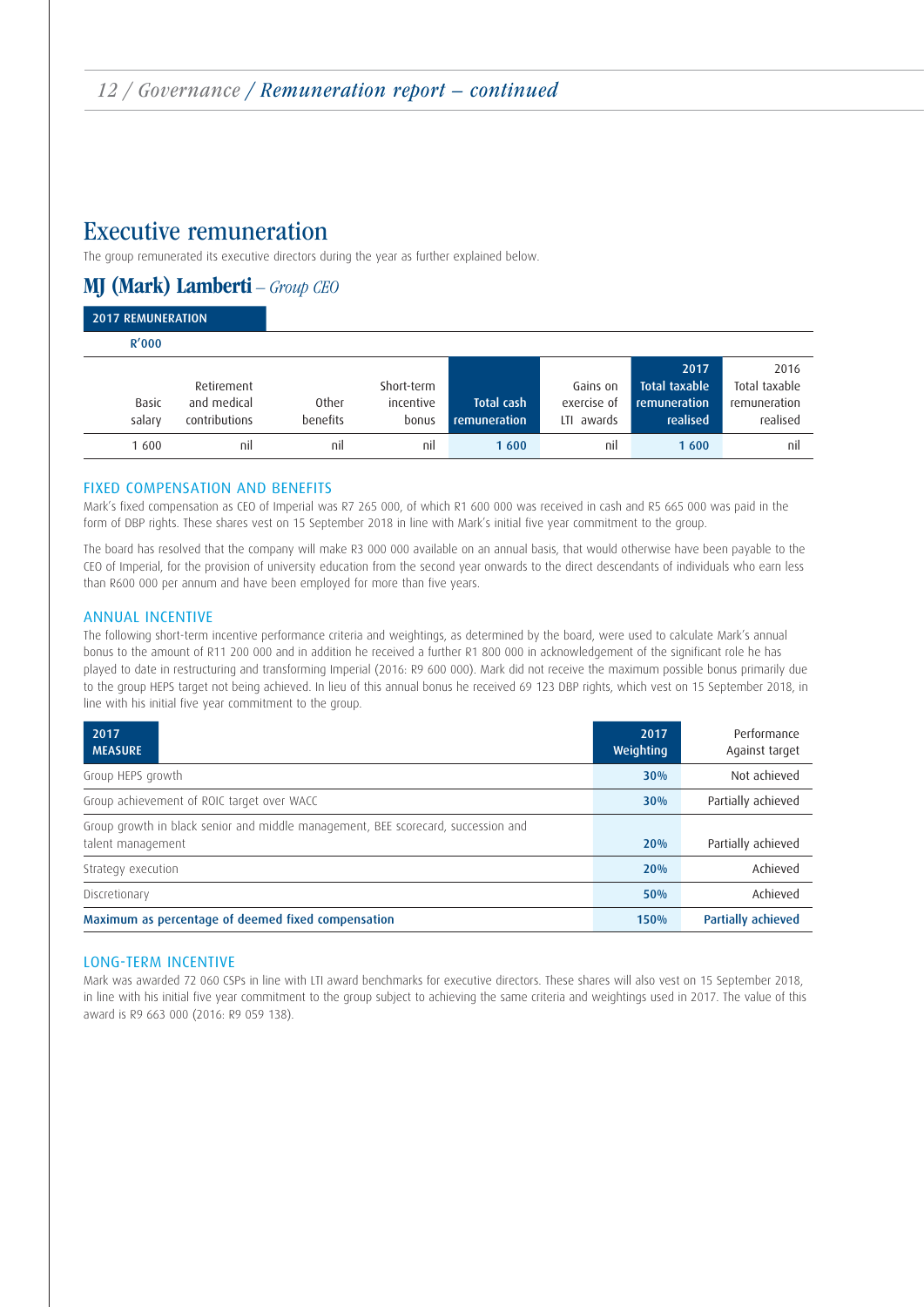## Executive remuneration

The group remunerated its executive directors during the year as further explained below.

## MJ (Mark) Lamberti – Group CEO

| <b>2017 REMUNERATION</b> |                                            |                   |                                  |                                   |                                          |                                                          |                                                   |
|--------------------------|--------------------------------------------|-------------------|----------------------------------|-----------------------------------|------------------------------------------|----------------------------------------------------------|---------------------------------------------------|
| R'000                    |                                            |                   |                                  |                                   |                                          |                                                          |                                                   |
| Basic<br>salary          | Retirement<br>and medical<br>contributions | Other<br>benefits | Short-term<br>incentive<br>bonus | <b>Total cash</b><br>remuneration | Gains on<br>exercise of<br>awards<br>LTI | 2017<br><b>Total taxable</b><br>remuneration<br>realised | 2016<br>Total taxable<br>remuneration<br>realised |
| 1600                     | nil                                        | nil               | nil                              | 1600                              | nil                                      | 1600                                                     | nil                                               |

#### FIXED COMPENSATION AND BENEFITS

Mark's fixed compensation as CEO of Imperial was R7 265 000, of which R1 600 000 was received in cash and R5 665 000 was paid in the form of DBP rights. These shares vest on 15 September 2018 in line with Mark's initial five year commitment to the group.

The board has resolved that the company will make R3 000 000 available on an annual basis, that would otherwise have been payable to the CEO of Imperial, for the provision of university education from the second year onwards to the direct descendants of individuals who earn less than R600 000 per annum and have been employed for more than five years.

#### ANNUAL INCENTIVE

The following short-term incentive performance criteria and weightings, as determined by the board, were used to calculate Mark's annual bonus to the amount of R11 200 000 and in addition he received a further R1 800 000 in acknowledgement of the significant role he has played to date in restructuring and transforming Imperial (2016: R9 600 000). Mark did not receive the maximum possible bonus primarily due to the group HEPS target not being achieved. In lieu of this annual bonus he received 69 123 DBP rights, which vest on 15 September 2018, in line with his initial five year commitment to the group.

| 2017<br><b>MEASURE</b>                                                                                 | 2017<br>Weighting | Performance<br>Against target |
|--------------------------------------------------------------------------------------------------------|-------------------|-------------------------------|
| Group HEPS growth                                                                                      | 30%               | Not achieved                  |
| Group achievement of ROIC target over WACC                                                             | 30%               | Partially achieved            |
| Group growth in black senior and middle management, BEE scorecard, succession and<br>talent management | 20%               | Partially achieved            |
| Strategy execution                                                                                     | <b>20%</b>        | Achieved                      |
| Discretionary                                                                                          | 50%               | Achieved                      |
| Maximum as percentage of deemed fixed compensation                                                     | 150%              | <b>Partially achieved</b>     |

#### LONG-TERM INCENTIVE

Mark was awarded 72 060 CSPs in line with LTI award benchmarks for executive directors. These shares will also vest on 15 September 2018, in line with his initial five year commitment to the group subject to achieving the same criteria and weightings used in 2017. The value of this award is R9 663 000 (2016: R9 059 138).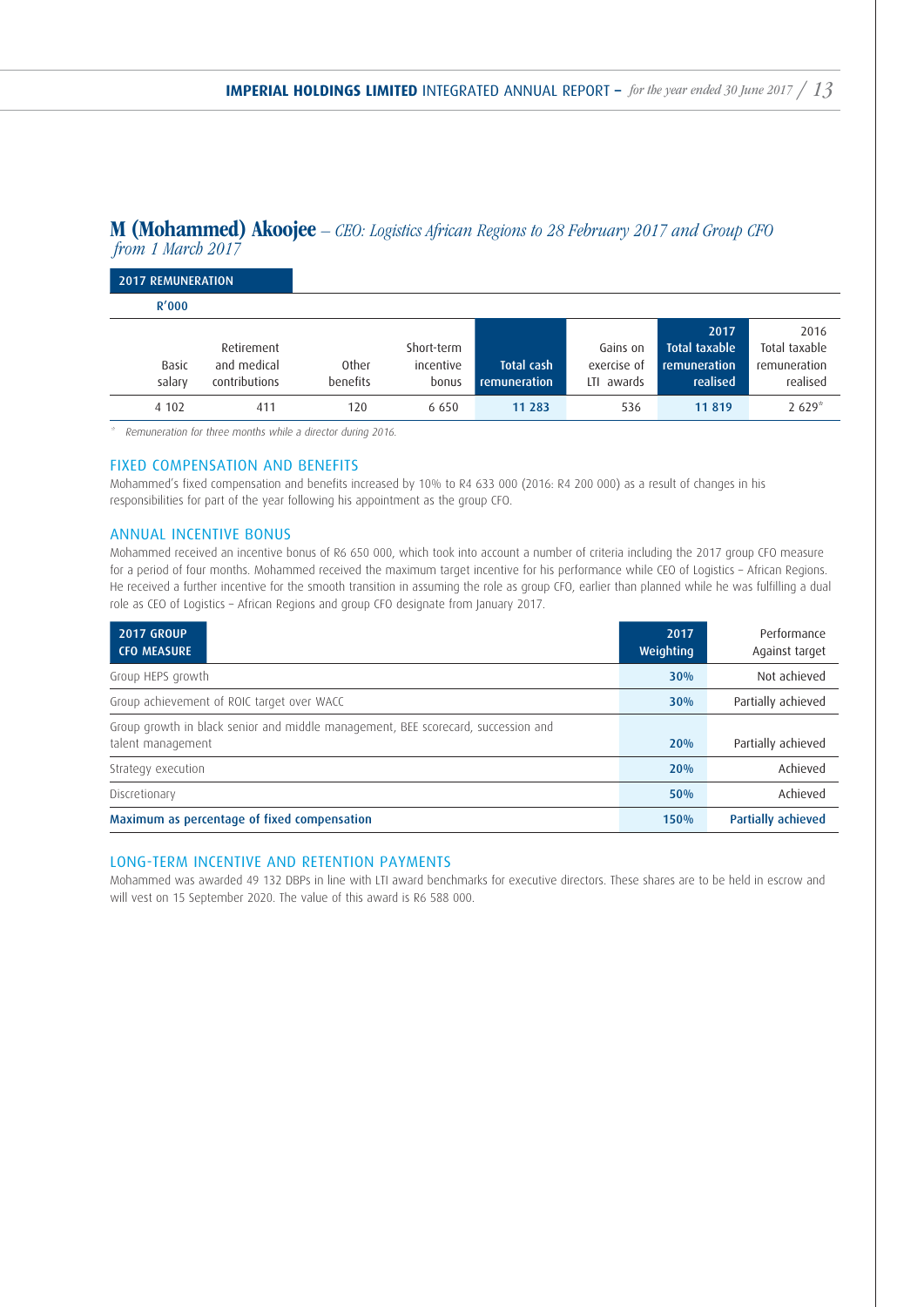2016 Total taxable

realised

#### M (Mohammed) Akoojee – CEO: Logistics African Regions to 28 February 2017 and Group CFO from 1 March 2017

2017 REMUNERATION R'000 Basic salary Retirement and medical contributions Other benefits Short-term incentive bonus Total cash remuneration Gains on exercise of LTI awards 2017 Total taxable remuneration realised remuneration 4 102 411 120 6 650 11 283 536 11 819 2 629<sup>\*</sup>

Remuneration for three months while a director during 2016.

#### FIXED COMPENSATION AND BENEFITS

Mohammed's fixed compensation and benefits increased by 10% to R4 633 000 (2016: R4 200 000) as a result of changes in his responsibilities for part of the year following his appointment as the group CFO.

#### ANNUAL INCENTIVE BONUS

Mohammed received an incentive bonus of R6 650 000, which took into account a number of criteria including the 2017 group CFO measure for a period of four months. Mohammed received the maximum target incentive for his performance while CEO of Logistics – African Regions. He received a further incentive for the smooth transition in assuming the role as group CFO, earlier than planned while he was fulfilling a dual role as CEO of Logistics – African Regions and group CFO designate from January 2017.

| <b>2017 GROUP</b><br><b>CFO MEASURE</b>                                                                | 2017<br>Weighting | Performance<br>Against target |
|--------------------------------------------------------------------------------------------------------|-------------------|-------------------------------|
| Group HEPS growth                                                                                      | 30%               | Not achieved                  |
| Group achievement of ROIC target over WACC                                                             | 30%               | Partially achieved            |
| Group growth in black senior and middle management, BEE scorecard, succession and<br>talent management | 20%               | Partially achieved            |
| Strategy execution                                                                                     | 20%               | Achieved                      |
| Discretionary                                                                                          | 50%               | Achieved                      |
| Maximum as percentage of fixed compensation                                                            | 150%              | Partially achieved            |

#### LONG-TERM INCENTIVE AND RETENTION PAYMENTS

Mohammed was awarded 49 132 DBPs in line with LTI award benchmarks for executive directors. These shares are to be held in escrow and will vest on 15 September 2020. The value of this award is R6 588 000.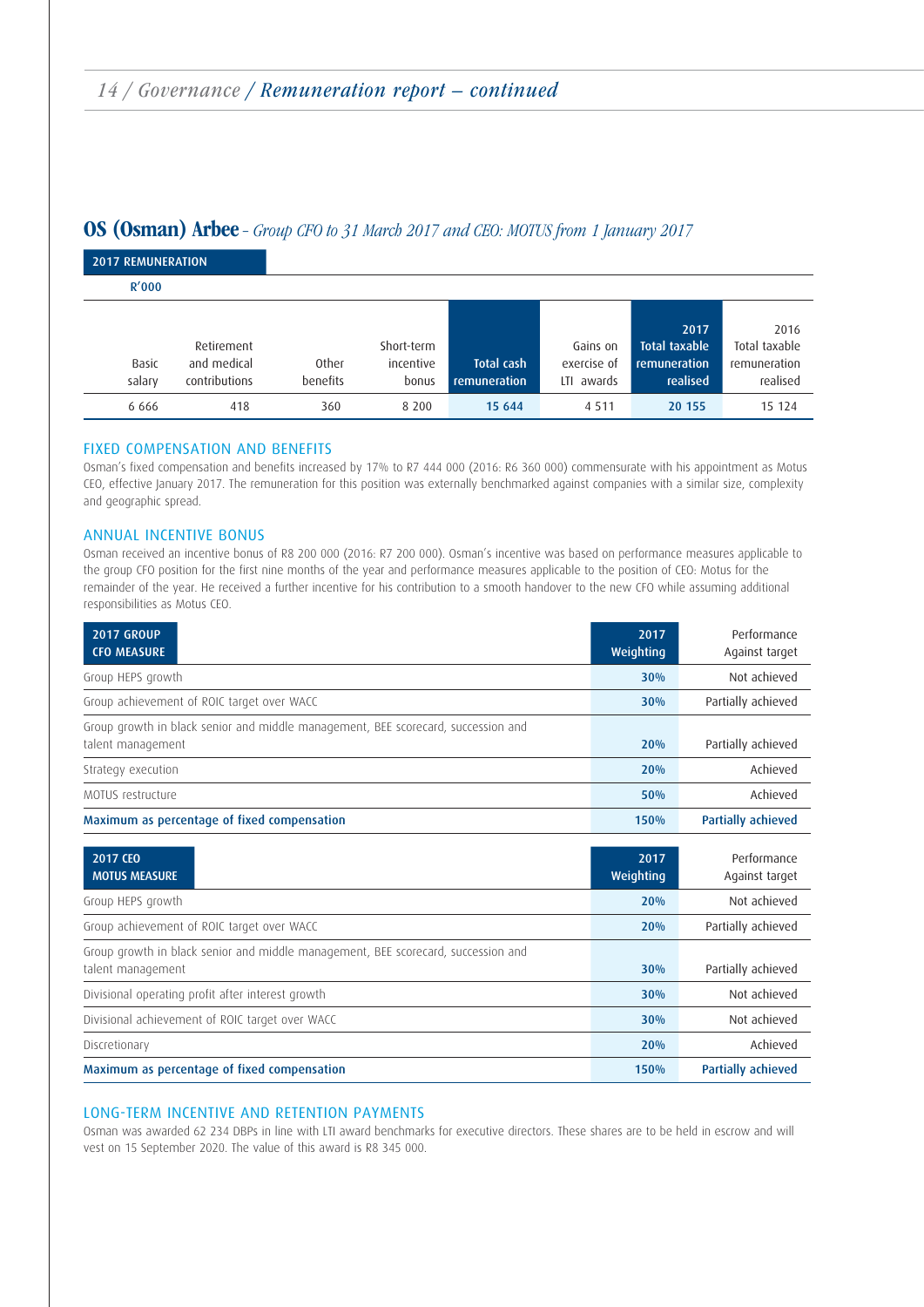### OS (Osman) Arbee – Group CFO to 31 March 2017 and CEO: MOTUS from 1 January 2017

| <b>2017 REMUNERATION</b> |                                            |                          |                                  |                                   |                                       |                                                   |                                                   |
|--------------------------|--------------------------------------------|--------------------------|----------------------------------|-----------------------------------|---------------------------------------|---------------------------------------------------|---------------------------------------------------|
| R'000                    |                                            |                          |                                  |                                   |                                       |                                                   |                                                   |
| Basic<br>salary          | Retirement<br>and medical<br>contributions | <b>Other</b><br>benefits | Short-term<br>incentive<br>bonus | <b>Total cash</b><br>remuneration | Gains on<br>exercise of<br>LTI awards | 2017<br>Total taxable<br>remuneration<br>realised | 2016<br>Total taxable<br>remuneration<br>realised |
| 6 6 6 6                  | 418                                        | 360                      | 8 2 0 0                          | 15 644                            | 4 5 1 1                               | 20 155                                            | 15 124                                            |

#### FIXED COMPENSATION AND BENEFITS

Osman's fixed compensation and benefits increased by 17% to R7 444 000 (2016: R6 360 000) commensurate with his appointment as Motus CEO, effective January 2017. The remuneration for this position was externally benchmarked against companies with a similar size, complexity and geographic spread.

#### ANNUAL INCENTIVE BONUS

Osman received an incentive bonus of R8 200 000 (2016: R7 200 000). Osman's incentive was based on performance measures applicable to the group CFO position for the first nine months of the year and performance measures applicable to the position of CEO: Motus for the remainder of the year. He received a further incentive for his contribution to a smooth handover to the new CFO while assuming additional responsibilities as Motus CEO.

| <b>2017 GROUP</b><br><b>CFO MEASURE</b>                                                                | 2017<br>Weighting | Performance<br>Against target |
|--------------------------------------------------------------------------------------------------------|-------------------|-------------------------------|
| Group HEPS growth                                                                                      | 30%               | Not achieved                  |
| Group achievement of ROIC target over WACC                                                             | 30%               | Partially achieved            |
| Group growth in black senior and middle management, BEE scorecard, succession and<br>talent management | 20%               | Partially achieved            |
| Strategy execution                                                                                     | 20%               | Achieved                      |
| MOTUS restructure                                                                                      | 50%               | Achieved                      |
| Maximum as percentage of fixed compensation                                                            | 150%              | <b>Partially achieved</b>     |
| 2017 CEO<br><b>MOTUS MEASURE</b>                                                                       | 2017<br>Weighting | Performance<br>Against target |
| Group HEPS growth                                                                                      | 20%               | Not achieved                  |
| Group achievement of ROIC target over WACC                                                             | 20%               | Partially achieved            |
| Group growth in black senior and middle management, BEE scorecard, succession and<br>talent management | 30%               | Partially achieved            |
| Divisional operating profit after interest growth                                                      | 30%               | Not achieved                  |
| Divisional achievement of ROIC target over WACC                                                        | 30%               | Not achieved                  |
| Discretionary                                                                                          | 20%               | Achieved                      |
| Maximum as percentage of fixed compensation                                                            | 150%              | <b>Partially achieved</b>     |

#### LONG-TERM INCENTIVE AND RETENTION PAYMENTS

Osman was awarded 62 234 DBPs in line with LTI award benchmarks for executive directors. These shares are to be held in escrow and will vest on 15 September 2020. The value of this award is R8 345 000.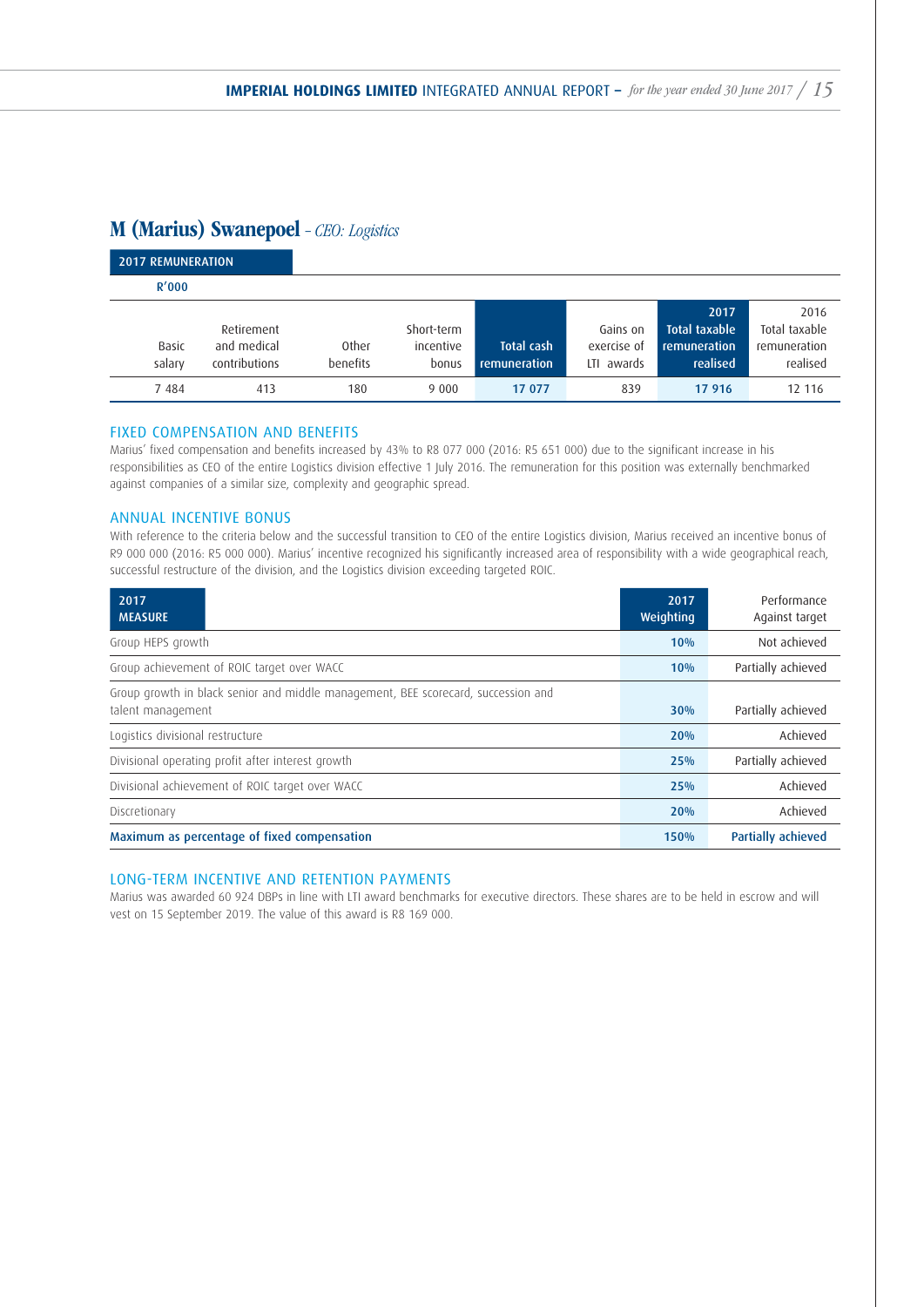## M (Marius) Swanepoel - CEO: Logistics

| <b>2017 REMUNERATION</b> |                                            |                   |                                  |                            |                                          |                                                          |                                                   |
|--------------------------|--------------------------------------------|-------------------|----------------------------------|----------------------------|------------------------------------------|----------------------------------------------------------|---------------------------------------------------|
| R'000                    |                                            |                   |                                  |                            |                                          |                                                          |                                                   |
| Basic<br>salary          | Retirement<br>and medical<br>contributions | Other<br>benefits | Short-term<br>incentive<br>bonus | Total cash<br>remuneration | Gains on<br>exercise of<br>awards<br>ΙTΙ | 2017<br><b>Total taxable</b><br>remuneration<br>realised | 2016<br>Total taxable<br>remuneration<br>realised |
| 7484                     | 413                                        | 180               | 9 0 0 0                          | 17 077                     | 839                                      | 17 916                                                   | 12 116                                            |

#### FIXED COMPENSATION AND BENEFITS

Marius' fixed compensation and benefits increased by 43% to R8 077 000 (2016: R5 651 000) due to the significant increase in his responsibilities as CEO of the entire Logistics division effective 1 July 2016. The remuneration for this position was externally benchmarked against companies of a similar size, complexity and geographic spread.

#### ANNUAL INCENTIVE BONUS

With reference to the criteria below and the successful transition to CEO of the entire Logistics division, Marius received an incentive bonus of R9 000 000 (2016: R5 000 000). Marius' incentive recognized his significantly increased area of responsibility with a wide geographical reach, successful restructure of the division, and the Logistics division exceeding targeted ROIC.

| 2017<br><b>MEASURE</b>                                                                                 | 2017<br><b>Weighting</b> | Performance<br>Against target |
|--------------------------------------------------------------------------------------------------------|--------------------------|-------------------------------|
| Group HEPS growth                                                                                      | 10%                      | Not achieved                  |
| Group achievement of ROIC target over WACC                                                             | 10%                      | Partially achieved            |
| Group growth in black senior and middle management, BEE scorecard, succession and<br>talent management | 30%                      | Partially achieved            |
| Logistics divisional restructure                                                                       | 20%                      | Achieved                      |
| Divisional operating profit after interest growth                                                      | 25%                      | Partially achieved            |
| Divisional achievement of ROIC target over WACC                                                        | 25%                      | Achieved                      |
| Discretionary                                                                                          | 20%                      | Achieved                      |
| Maximum as percentage of fixed compensation                                                            | 150%                     | <b>Partially achieved</b>     |

#### LONG-TERM INCENTIVE AND RETENTION PAYMENTS

Marius was awarded 60 924 DBPs in line with LTI award benchmarks for executive directors. These shares are to be held in escrow and will vest on 15 September 2019. The value of this award is R8 169 000.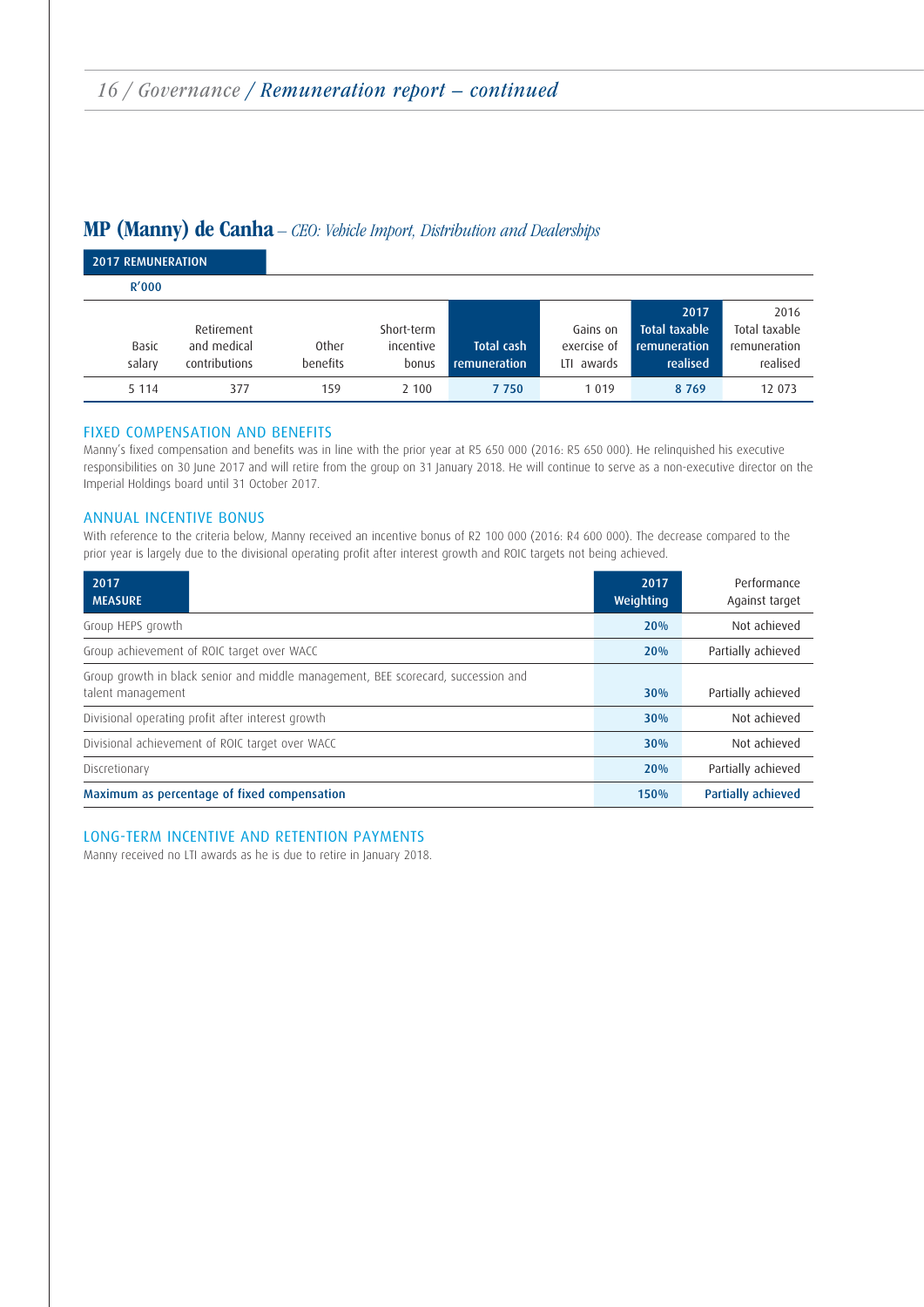## MP (Manny) de Canha – CEO: Vehicle Import, Distribution and Dealerships

| <b>2017 REMUNERATION</b> |                                            |                   |                                  |                            |                                       |                                                          |                                                   |
|--------------------------|--------------------------------------------|-------------------|----------------------------------|----------------------------|---------------------------------------|----------------------------------------------------------|---------------------------------------------------|
| R'000                    |                                            |                   |                                  |                            |                                       |                                                          |                                                   |
| Basic<br>salary          | Retirement<br>and medical<br>contributions | Other<br>benefits | Short-term<br>incentive<br>bonus | Total cash<br>remuneration | Gains on<br>exercise of<br>LTI awards | 2017<br><b>Total taxable</b><br>remuneration<br>realised | 2016<br>Total taxable<br>remuneration<br>realised |
| 5 1 1 4                  | 377                                        | 159               | 2 100                            | 7750                       | 1 0 1 9                               | 8769                                                     | 12 073                                            |

#### FIXED COMPENSATION AND BENEFITS

Manny's fixed compensation and benefits was in line with the prior year at R5 650 000 (2016: R5 650 000). He relinquished his executive responsibilities on 30 June 2017 and will retire from the group on 31 January 2018. He will continue to serve as a non-executive director on the Imperial Holdings board until 31 October 2017.

#### ANNUAL INCENTIVE BONUS

With reference to the criteria below, Manny received an incentive bonus of R2 100 000 (2016: R4 600 000). The decrease compared to the prior year is largely due to the divisional operating profit after interest growth and ROIC targets not being achieved.

| 2017<br><b>MEASURE</b> |                                                                                   | 2017<br><b>Weighting</b> | Performance<br>Against target |
|------------------------|-----------------------------------------------------------------------------------|--------------------------|-------------------------------|
| Group HEPS growth      |                                                                                   | 20%                      | Not achieved                  |
|                        | Group achievement of ROIC target over WACC                                        | 20%                      | Partially achieved            |
| talent management      | Group growth in black senior and middle management, BEE scorecard, succession and | 30%                      | Partially achieved            |
|                        | Divisional operating profit after interest growth                                 | 30%                      | Not achieved                  |
|                        | Divisional achievement of ROIC target over WACC                                   | 30%                      | Not achieved                  |
| Discretionary          |                                                                                   | 20%                      | Partially achieved            |
|                        | Maximum as percentage of fixed compensation                                       | 150%                     | <b>Partially achieved</b>     |

#### LONG-TERM INCENTIVE AND RETENTION PAYMENTS

Manny received no LTI awards as he is due to retire in January 2018.